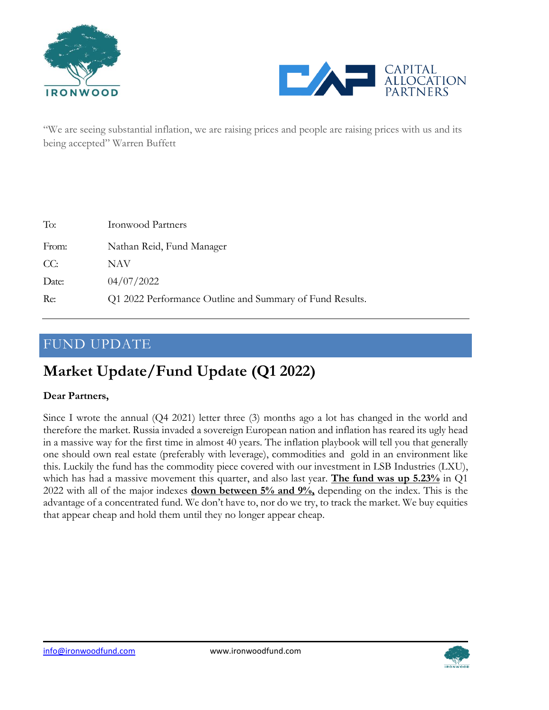



"We are seeing substantial inflation, we are raising prices and people are raising prices with us and its being accepted" Warren Buffett

| To:   | <b>Ironwood Partners</b>                                 |
|-------|----------------------------------------------------------|
| From: | Nathan Reid, Fund Manager                                |
| CC:   | NAV                                                      |
| Date: | 04/07/2022                                               |
| Re:   | Q1 2022 Performance Outline and Summary of Fund Results. |

### FUND UPDATE

# **Market Update/Fund Update (Q1 2022)**

#### **Dear Partners,**

Since I wrote the annual (Q4 2021) letter three (3) months ago a lot has changed in the world and therefore the market. Russia invaded a sovereign European nation and inflation has reared its ugly head in a massive way for the first time in almost 40 years. The inflation playbook will tell you that generally one should own real estate (preferably with leverage), commodities and gold in an environment like this. Luckily the fund has the commodity piece covered with our investment in LSB Industries (LXU), which has had a massive movement this quarter, and also last year. **The fund was up 5.23%** in Q1 2022 with all of the major indexes **down between 5% and 9%,** depending on the index. This is the advantage of a concentrated fund. We don't have to, nor do we try, to track the market. We buy equities that appear cheap and hold them until they no longer appear cheap.

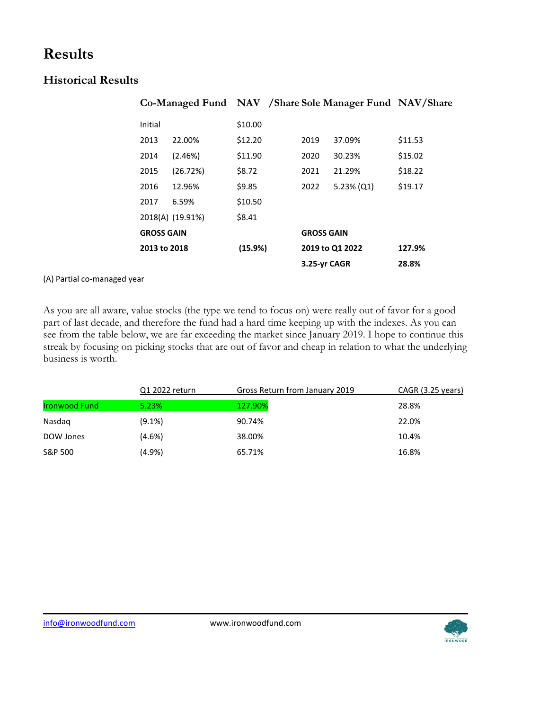## **Results**

### **Historical Results**

| Co-Managed Fund NAV /Share Sole Manager Fund NAV/Share |         |                   |                 |         |
|--------------------------------------------------------|---------|-------------------|-----------------|---------|
| Initial                                                | \$10.00 |                   |                 |         |
| 2013<br>22.00%                                         | \$12.20 | 2019              | 37.09%          | \$11.53 |
| (2.46%)<br>2014                                        | \$11.90 | 2020              | 30.23%          | \$15.02 |
| (26.72%)<br>2015                                       | \$8.72  | 2021              | 21.29%          | \$18.22 |
| 2016<br>12.96%                                         | \$9.85  | 2022              | $5.23\%$ (Q1)   | \$19.17 |
| 6.59%<br>2017                                          | \$10.50 |                   |                 |         |
| 2018(A) (19.91%)                                       | \$8.41  |                   |                 |         |
| <b>GROSS GAIN</b>                                      |         | <b>GROSS GAIN</b> |                 |         |
| 2013 to 2018                                           | (15.9%) |                   | 2019 to Q1 2022 | 127.9%  |
|                                                        |         | 3.25-yr CAGR      |                 | 28.8%   |

#### (A) Partial co-managed year

As you are all aware, value stocks (the type we tend to focus on) were really out of favor for a good part of last decade, and therefore the fund had a hard time keeping up with the indexes. As you can see from the table below, we are far exceeding the market since January 2019. I hope to continue this streak by focusing on picking stocks that are out of favor and cheap in relation to what the underlying business is worth.

|                      | Q1 2022 return | Gross Return from January 2019 | CAGR (3.25 years) |
|----------------------|----------------|--------------------------------|-------------------|
| <b>Ironwood Fund</b> | 5.23%          | 127.90%                        | 28.8%             |
| Nasdag               | $(9.1\%)$      | 90.74%                         | 22.0%             |
| DOW Jones            | $(4.6\%)$      | 38.00%                         | 10.4%             |
| S&P 500              | (4.9%)         | 65.71%                         | 16.8%             |

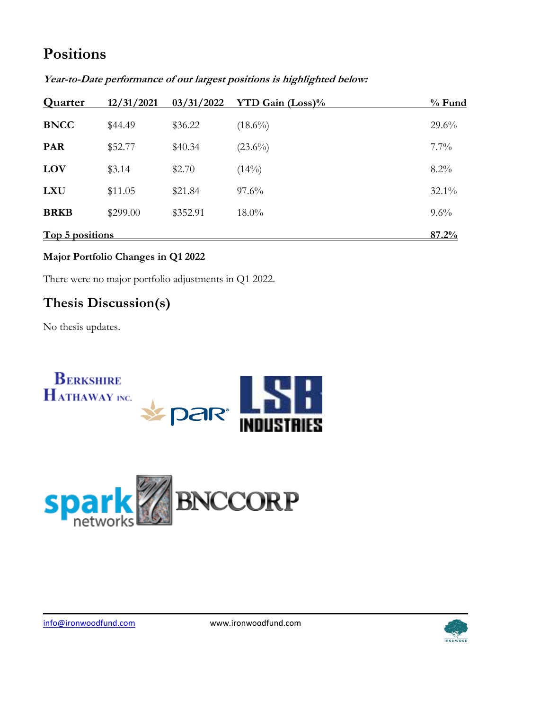# **Positions**

| <b>Quarter</b>         | 12/31/2021 | 03/31/2022 | <b>YTD Gain (Loss)%</b> | $%$ Fund |
|------------------------|------------|------------|-------------------------|----------|
| <b>BNCC</b>            | \$44.49    | \$36.22    | $(18.6\%)$              | $29.6\%$ |
| <b>PAR</b>             | \$52.77    | \$40.34    | $(23.6\%)$              | $7.7\%$  |
| LOV                    | \$3.14     | \$2.70     | (14%)                   | $8.2\%$  |
| <b>LXU</b>             | \$11.05    | \$21.84    | $97.6\%$                | 32.1%    |
| <b>BRKB</b>            | \$299.00   | \$352.91   | $18.0\%$                | $9.6\%$  |
| <u>Top 5 positions</u> |            |            |                         | 87.2%    |

**Year-to-Date performance of our largest positions is highlighted below:**

#### **Major Portfolio Changes in Q1 2022**

There were no major portfolio adjustments in Q1 2022.

### **Thesis Discussion(s)**

No thesis updates.





[info@ironwoodfund.com](mailto:info@ironwoodfund.com) www.ironwoodfund.com